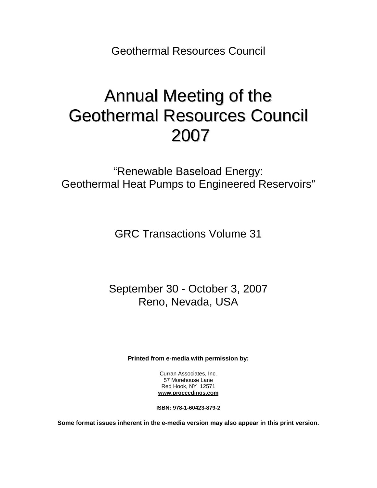Geothermal Resources Council

# Annual Meeting of the Geothermal Resources Council 2007

"Renewable Baseload Energy: Geothermal Heat Pumps to Engineered Reservoirs"

GRC Transactions Volume 31

September 30 - October 3, 2007 Reno, Nevada, USA

**Printed from e-media with permission by:** 

Curran Associates, Inc. 57 Morehouse Lane Red Hook, NY 12571 **[www.proceedings.com](http://www.proceedings.com/)**

**ISBN: 978-1-60423-879-2** 

**Some format issues inherent in the e-media version may also appear in this print version.**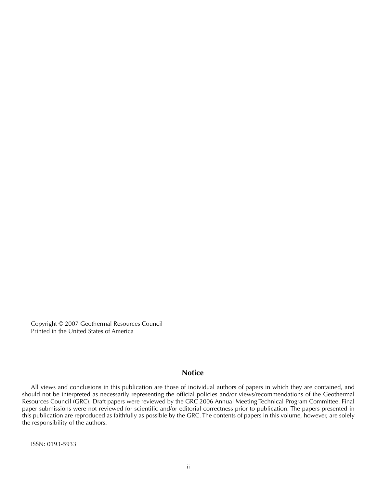Copyright © 2007 Geothermal Resources Council Printed in the United States of America

#### **Notice**

All views and conclusions in this publication are those of individual authors of papers in which they are contained, and should not be interpreted as necessarily representing the official policies and/or views/recommendations of the Geothermal Resources Council (GRC). Draft papers were reviewed by the GRC 2006 Annual Meeting Technical Program Committee. Final paper submissions were not reviewed for scientific and/or editorial correctness prior to publication. The papers presented in this publication are reproduced as faithfully as possible by the GRC. The contents of papers in this volume, however, are solely the responsibility of the authors.

ISSN: 0193-5933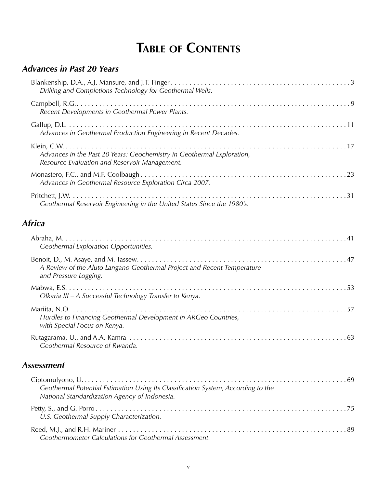## **TABLE OF CONTENTS**

#### *Advances in Past 20 Years*

|               | Drilling and Completions Technology for Geothermal Wells.                                                               |
|---------------|-------------------------------------------------------------------------------------------------------------------------|
|               | Recent Developments in Geothermal Power Plants.                                                                         |
|               | Advances in Geothermal Production Engineering in Recent Decades.                                                        |
|               | Advances in the Past 20 Years: Geochemistry in Geothermal Exploration,<br>Resource Evaluation and Reservoir Management. |
|               | Advances in Geothermal Resource Exploration Circa 2007.                                                                 |
|               | Geothermal Reservoir Engineering in the United States Since the 1980's.                                                 |
| <b>Africa</b> |                                                                                                                         |
|               | Coothermal Evaleration Opportunities                                                                                    |

| Geothermal Exploration Opportunities.                                                            |
|--------------------------------------------------------------------------------------------------|
| A Review of the Aluto Langano Geothermal Project and Recent Temperature<br>and Pressure Logging. |
| Olkaria III – A Successful Technology Transfer to Kenya.                                         |
| Hurdles to Financing Geothermal Development in ARGeo Countries,<br>with Special Focus on Kenya.  |
| Geothermal Resource of Rwanda.                                                                   |

#### *Assessment*

| Geothermal Potential Estimation Using Its Classification System, According to the<br>National Standardization Agency of Indonesia. |  |
|------------------------------------------------------------------------------------------------------------------------------------|--|
| U.S. Geothermal Supply Characterization.                                                                                           |  |
| Geothermometer Calculations for Geothermal Assessment.                                                                             |  |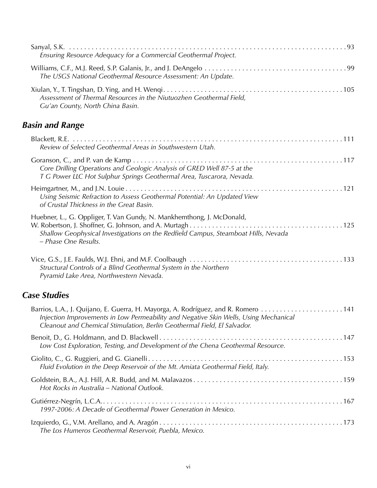| Ensuring Resource Adequacy for a Commercial Geothermal Project.                                                                                                                     |  |
|-------------------------------------------------------------------------------------------------------------------------------------------------------------------------------------|--|
| The USGS National Geothermal Resource Assessment: An Update.                                                                                                                        |  |
| Assessment of Thermal Resources in the Niutuozhen Geothermal Field,<br>Gu'an County, North China Basin.                                                                             |  |
| <b>Basin and Range</b>                                                                                                                                                              |  |
| Review of Selected Geothermal Areas in Southwestern Utah.                                                                                                                           |  |
| Core Drilling Operations and Geologic Analysis of GRED Well 87-5 at the<br>T G Power LLC Hot Sulphur Springs Geothermal Area, Tuscarora, Nevada.                                    |  |
| Using Seismic Refraction to Assess Geothermal Potential: An Updated View<br>of Crustal Thickness in the Great Basin.                                                                |  |
| Huebner, L., G. Oppliger, T. Van Gundy, N. Mankhemthong, J. McDonald,<br>Shallow Geophysical Investigations on the Redfield Campus, Steamboat Hills, Nevada<br>- Phase One Results. |  |
| Structural Controls of a Blind Geothermal System in the Northern<br>Pyramid Lake Area, Northwestern Nevada.                                                                         |  |
| <b>Case Studies</b>                                                                                                                                                                 |  |
| Injection Improvements in Low Permeability and Negative Skin Wells, Using Mechanical<br>Cleanout and Chemical Stimulation, Berlin Geothermal Field, El Salvador.                    |  |
| Low Cost Exploration, Testing, and Development of the Chena Geothermal Resource.                                                                                                    |  |
| Fluid Evolution in the Deep Reservoir of the Mt. Amiata Geothermal Field, Italy.                                                                                                    |  |
| Hot Rocks in Australia - National Outlook.                                                                                                                                          |  |
| 1997-2006: A Decade of Geothermal Power Generation in Mexico.                                                                                                                       |  |
| The Los Humeros Geothermal Reservoir, Puebla, Mexico.                                                                                                                               |  |
|                                                                                                                                                                                     |  |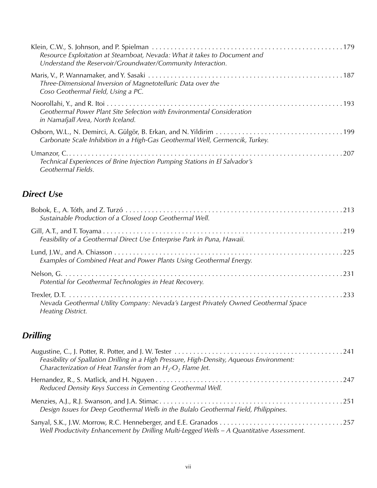| Resource Exploitation at Steamboat, Nevada: What it takes to Document and<br>Understand the Reservoir/Groundwater/Community Interaction. |
|------------------------------------------------------------------------------------------------------------------------------------------|
| Three-Dimensional Inversion of Magnetotelluric Data over the<br>Coso Geothermal Field, Using a PC.                                       |
| Geothermal Power Plant Site Selection with Environmental Consideration<br>in Namafjall Area, North Iceland.                              |
| Carbonate Scale Inhibition in a High-Gas Geothermal Well, Germencik, Turkey.                                                             |
| Technical Experiences of Brine Injection Pumping Stations in El Salvador's<br>Geothermal Fields.                                         |

#### *Direct Use*

| Sustainable Production of a Closed Loop Geothermal Well.                                                         |  |
|------------------------------------------------------------------------------------------------------------------|--|
| Feasibility of a Geothermal Direct Use Enterprise Park in Puna, Hawaii.                                          |  |
| Examples of Combined Heat and Power Plants Using Geothermal Energy.                                              |  |
| Potential for Geothermal Technologies in Heat Recovery.                                                          |  |
| Nevada Geothermal Utility Company: Nevada's Largest Privately Owned Geothermal Space<br><b>Heating District.</b> |  |

#### *Drilling*

| Feasibility of Spallation Drilling in a High Pressure, High-Density, Aqueous Environment:<br>Characterization of Heat Transfer from an $H_2$ -O <sub>2</sub> Flame Jet. |  |
|-------------------------------------------------------------------------------------------------------------------------------------------------------------------------|--|
| Reduced Density Keys Success in Cementing Geothermal Well.                                                                                                              |  |
| Design Issues for Deep Geothermal Wells in the Bulalo Geothermal Field, Philippines.                                                                                    |  |
| Well Productivity Enhancement by Drilling Multi-Legged Wells - A Quantitative Assessment.                                                                               |  |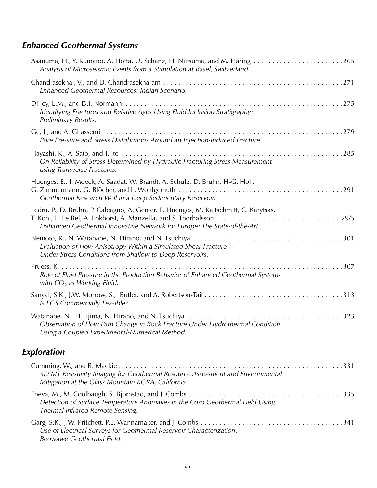#### *Enhanced Geothermal Systems*

| Analysis of Microseismic Events from a Stimulation at Basel, Switzerland.                                                                                         |
|-------------------------------------------------------------------------------------------------------------------------------------------------------------------|
| Enhanced Geothermal Resources: Indian Scenario.                                                                                                                   |
| Identifying Fractures and Relative Ages Using Fluid Inclusion Stratigraphy:<br>Preliminary Results.                                                               |
| Pore Pressure and Stress Distributions Around an Injection-Induced Fracture.                                                                                      |
| On Reliability of Stress Determined by Hydraulic Fracturing Stress Measurement<br>using Transverse Fractures.                                                     |
| Huenges, E., I. Moeck, A. Saadat, W. Brandt, A. Schulz, D. Bruhn, H-G. Holl,<br>Geothermal Research Well in a Deep Sedimentary Reservoir.                         |
| Ledru, P., D. Bruhn, P. Calcagno, A. Genter, E. Huenges, M. Kaltschmitt, C. Karytsas,<br>ENhanced Geothermal Innovative Network for Europe: The State-of-the-Art. |
| Evaluation of Flow Anisotropy Within a Simulated Shear Fracture<br>Under Stress Conditions from Shallow to Deep Reservoirs.                                       |
| Role of Fluid Pressure in the Production Behavior of Enhanced Geothermal Systems<br>with $CO2$ as Working Fluid.                                                  |
| Is EGS Commercially Feasible?                                                                                                                                     |
| Observation of Flow Path Change in Rock Fracture Under Hydrothermal Condition<br>Using a Coupled Experimental-Numerical Method.                                   |
| Exploration                                                                                                                                                       |
| 3D MT Resistivity Imaging for Geothermal Resource Assessment and Environmental<br>Mitigation at the Glass Mountain KGRA, California.                              |
| Detection of Surface Temperature Anomalies in the Coso Geothermal Field Using<br>Thermal Infrared Remote Sensing.                                                 |
| Use of Electrical Surveys for Geothermal Reservoir Characterization:<br>Beowawe Geothermal Field.                                                                 |

viii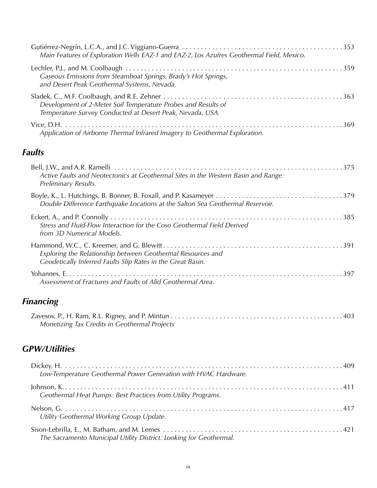| Main Features of Exploration Wells EAZ-1 and EAZ-2, Los Azufres Geothermal Field, Mexico.                                  |
|----------------------------------------------------------------------------------------------------------------------------|
| Gaseous Emissions from Steamboat Springs, Brady's Hot Springs,<br>and Desert Peak Geothermal Systems, Nevada.              |
| Development of 2-Meter Soil Temperature Probes and Results of<br>Temperature Survey Conducted at Desert Peak, Nevada, USA. |
| Application of Airborne Thermal Infrared Imagery to Geothermal Exploration.                                                |
| <b>Faults</b>                                                                                                              |
| Active Faults and Neotectonics at Geothermal Sites in the Western Basin and Range:<br>Preliminary Results.                 |
| Double Difference Earthquake Locations at the Salton Sea Geothermal Reservoir.                                             |
| Stress and Fluid-Flow Interaction for the Coso Geothermal Field Derived<br>from 3D Numerical Models.                       |
| Exploring the Relationship between Geothermal Resources and<br>Geodetically Inferred Faults Slip Rates in the Great Basin. |
|                                                                                                                            |

| Assessment of Fractures and Faults of Alid Geothermal Area. |
|-------------------------------------------------------------|

### *Financing*

| Monetizing Tax Credits in Geothermal Projects |  |
|-----------------------------------------------|--|

#### *GPW/Utilities*

| Low-Temperature Geothermal Power Generation with HVAC Hardware.    |  |
|--------------------------------------------------------------------|--|
| Geothermal Heat Pumps: Best Practices from Utility Programs.       |  |
| Utility Geothermal Working Group Update.                           |  |
| The Sacramento Municipal Utility District: Looking for Geothermal. |  |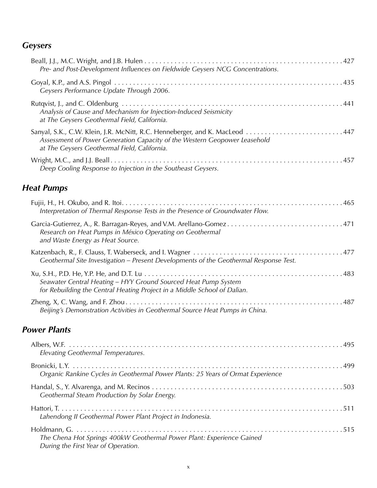#### *Geysers*

| Pre- and Post-Development Influences on Fieldwide Geysers NCG Concentrations.                                                                                                                             |
|-----------------------------------------------------------------------------------------------------------------------------------------------------------------------------------------------------------|
| Geysers Performance Update Through 2006.                                                                                                                                                                  |
| Analysis of Cause and Mechanism for Injection-Induced Seismicity<br>at The Geysers Geothermal Field, California.                                                                                          |
| Sanyal, S.K., C.W. Klein, J.R. McNitt, R.C. Henneberger, and K. MacLeod  447<br>Assessment of Power Generation Capacity of the Western Geopower Leasehold<br>at The Geysers Geothermal Field, California. |
| Deep Cooling Response to Injection in the Southeast Geysers.                                                                                                                                              |
| <b>Heat Pumps</b>                                                                                                                                                                                         |
| Interpretation of Thermal Response Tests in the Presence of Groundwater Flow.                                                                                                                             |
| Garcia-Gutierrez, A., R. Barragan-Reyes, and V.M. Arellano-Gomez 471<br>Research on Heat Pumps in México Operating on Geothermal<br>and Waste Energy as Heat Source.                                      |
| Geothermal Site Investigation – Present Developments of the Geothermal Response Test.                                                                                                                     |
| Seawater Central Heating - HYY Ground Sourced Heat Pump System<br>for Rebuilding the Central Heating Project in a Middle School of Dalian.                                                                |
| Beijing's Demonstration Activities in Geothermal Source Heat Pumps in China.                                                                                                                              |

#### *Power Plants*

| Elevating Geothermal Temperatures.                                                                           |
|--------------------------------------------------------------------------------------------------------------|
| Organic Rankine Cycles in Geothermal Power Plants: 25 Years of Ormat Experience                              |
| Geothermal Steam Production by Solar Energy.                                                                 |
| Lahendong II Geothermal Power Plant Project in Indonesia.                                                    |
| The Chena Hot Springs 400kW Geothermal Power Plant: Experience Gained<br>During the First Year of Operation. |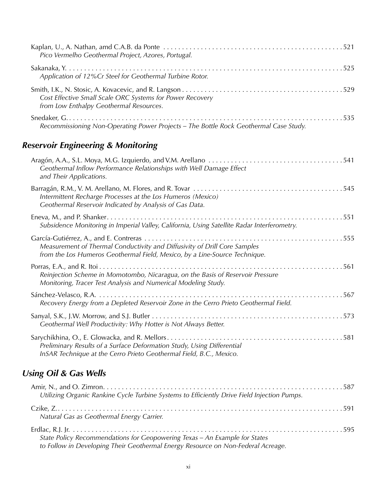| Pico Vermelho Geothermal Project, Azores, Portugal.                                                  |  |
|------------------------------------------------------------------------------------------------------|--|
| Application of 12% Cr Steel for Geothermal Turbine Rotor.                                            |  |
| Cost Effective Small Scale ORC Systems for Power Recovery<br>from Low Enthalpy Geothermal Resources. |  |
| Recommissioning Non-Operating Power Projects - The Bottle Rock Geothermal Case Study.                |  |

#### *Reservoir Engineering & Monitoring*

| Geothermal Inflow Performance Relationships with Well Damage Effect<br>and Their Applications.                                                          |
|---------------------------------------------------------------------------------------------------------------------------------------------------------|
| Intermittent Recharge Processes at the Los Humeros (Mexico)<br>Geothermal Reservoir Indicated by Analysis of Gas Data.                                  |
| Subsidence Monitoring in Imperial Valley, California, Using Satellite Radar Interferometry.                                                             |
| Measurement of Thermal Conductivity and Diffusivity of Drill Core Samples<br>from the Los Humeros Geothermal Field, Mexico, by a Line-Source Technique. |
| Reinjection Scheme in Momotombo, Nicaragua, on the Basis of Reservoir Pressure<br>Monitoring, Tracer Test Analysis and Numerical Modeling Study.        |
| Recovery Energy from a Depleted Reservoir Zone in the Cerro Prieto Geothermal Field.                                                                    |
| Geothermal Well Productivity: Why Hotter is Not Always Better.                                                                                          |
| Preliminary Results of a Surface Deformation Study, Using Differential<br>InSAR Technique at the Cerro Prieto Geothermal Field, B.C., Mexico.           |

#### *Using Oil & Gas Wells*

| Utilizing Organic Rankine Cycle Turbine Systems to Efficiently Drive Field Injection Pumps.                                                                    |  |
|----------------------------------------------------------------------------------------------------------------------------------------------------------------|--|
| Natural Gas as Geothermal Energy Carrier.                                                                                                                      |  |
| State Policy Recommendations for Geopowering Texas - An Example for States<br>to Follow in Developing Their Geothermal Energy Resource on Non-Federal Acreage. |  |